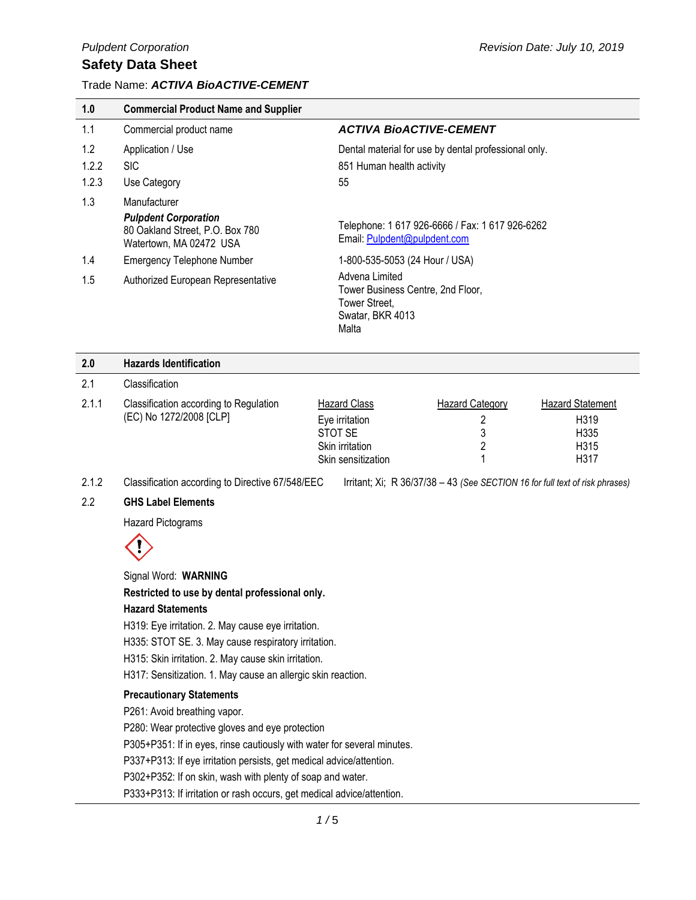#### Trade Name: *ACTIVA BioACTIVE-CEMENT*

| 1.0   | <b>Commercial Product Name and Supplier</b>                |                                                                                                   |
|-------|------------------------------------------------------------|---------------------------------------------------------------------------------------------------|
| 1.1   | Commercial product name                                    | <b>ACTIVA BIOACTIVE-CEMENT</b>                                                                    |
| 1.2   | Application / Use                                          | Dental material for use by dental professional only.                                              |
| 1.2.2 | <b>SIC</b>                                                 | 851 Human health activity                                                                         |
| 1.2.3 | Use Category                                               | 55                                                                                                |
| 1.3   | Manufacturer<br><b>Pulpdent Corporation</b>                |                                                                                                   |
|       | 80 Oakland Street, P.O. Box 780<br>Watertown, MA 02472 USA | Telephone: 1 617 926-6666 / Fax: 1 617 926-6262<br>Email: Pulpdent@pulpdent.com                   |
| 1.4   | <b>Emergency Telephone Number</b>                          | 1-800-535-5053 (24 Hour / USA)                                                                    |
| 1.5   | Authorized European Representative                         | Advena Limited<br>Tower Business Centre, 2nd Floor,<br>Tower Street,<br>Swatar, BKR 4013<br>Malta |
| n C   | Uazarda Idantification                                     |                                                                                                   |

| 2.0   | <b>Hazards Identification</b>                                     |                        |                        |                         |
|-------|-------------------------------------------------------------------|------------------------|------------------------|-------------------------|
| 2.1   | Classification                                                    |                        |                        |                         |
| 2.1.1 | Classification according to Regulation<br>(EC) No 1272/2008 [CLP] | <b>Hazard Class</b>    | <b>Hazard Category</b> | <b>Hazard Statement</b> |
|       |                                                                   | Eye irritation         |                        | H <sub>3</sub> 19       |
|       |                                                                   | STOT SE                | 3                      | H335                    |
|       |                                                                   | <b>Skin irritation</b> |                        | H315                    |
|       |                                                                   | Skin sensitization     |                        | H317                    |
|       |                                                                   |                        |                        |                         |

2.1.2 Classification according to Directive 67/548/EEC Irritant; Xi; R 36/37/38 – 43 *(See SECTION 16 for full text of risk phrases)*

#### 2.2 **GHS Label Elements**

Hazard Pictograms



Signal Word: **WARNING**

**Restricted to use by dental professional only.**

#### **Hazard Statements**

H319: Eye irritation. 2. May cause eye irritation.

H335: STOT SE. 3. May cause respiratory irritation.

H315: Skin irritation. 2. May cause skin irritation.

H317: Sensitization. 1. May cause an allergic skin reaction.

#### **Precautionary Statements**

P261: Avoid breathing vapor.

P280: Wear protective gloves and eye protection

P305+P351: If in eyes, rinse cautiously with water for several minutes.

P337+P313: If eye irritation persists, get medical advice/attention.

P302+P352: If on skin, wash with plenty of soap and water.

P333+P313: If irritation or rash occurs, get medical advice/attention.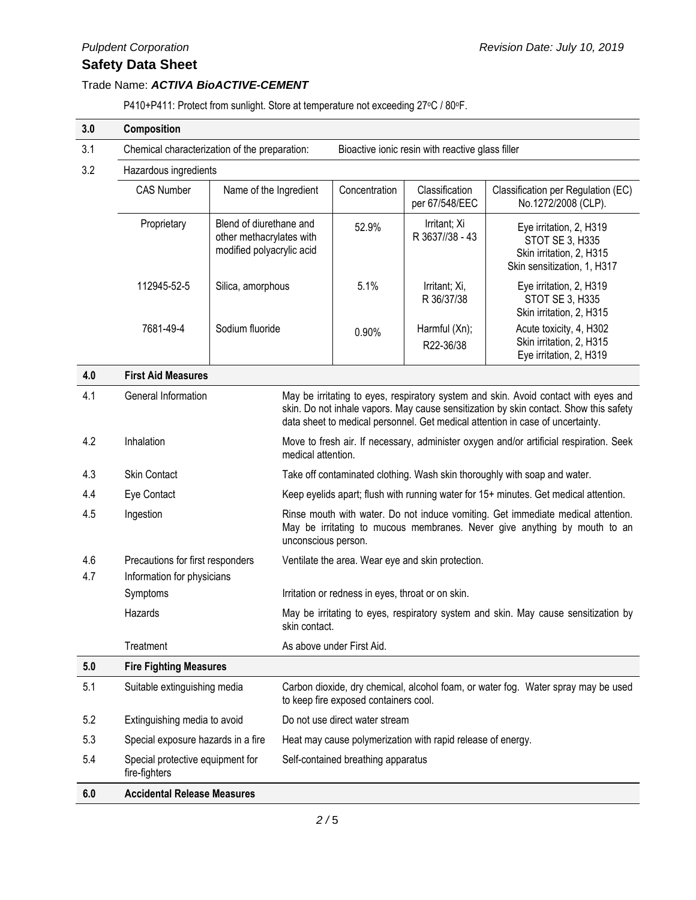#### Trade Name: *ACTIVA BioACTIVE-CEMENT*

P410+P411: Protect from sunlight. Store at temperature not exceeding 27°C / 80°F.

| 3.0        | Composition                                                                                                                                                                                                                                                                           |                                                                                  |                                                                                                                                                                                      |                           |                                  |                                                                                                       |
|------------|---------------------------------------------------------------------------------------------------------------------------------------------------------------------------------------------------------------------------------------------------------------------------------------|----------------------------------------------------------------------------------|--------------------------------------------------------------------------------------------------------------------------------------------------------------------------------------|---------------------------|----------------------------------|-------------------------------------------------------------------------------------------------------|
| 3.1        | Chemical characterization of the preparation:                                                                                                                                                                                                                                         |                                                                                  | Bioactive ionic resin with reactive glass filler                                                                                                                                     |                           |                                  |                                                                                                       |
| 3.2        | Hazardous ingredients                                                                                                                                                                                                                                                                 |                                                                                  |                                                                                                                                                                                      |                           |                                  |                                                                                                       |
|            | <b>CAS Number</b><br>Name of the Ingredient                                                                                                                                                                                                                                           |                                                                                  |                                                                                                                                                                                      | Concentration             | Classification<br>per 67/548/EEC | Classification per Regulation (EC)<br>No.1272/2008 (CLP).                                             |
|            | Proprietary                                                                                                                                                                                                                                                                           | Blend of diurethane and<br>other methacrylates with<br>modified polyacrylic acid |                                                                                                                                                                                      | 52.9%                     | Irritant; Xi<br>R 3637//38 - 43  | Eye irritation, 2, H319<br>STOT SE 3, H335<br>Skin irritation, 2, H315<br>Skin sensitization, 1, H317 |
|            | 112945-52-5                                                                                                                                                                                                                                                                           | Silica, amorphous                                                                |                                                                                                                                                                                      | 5.1%                      | Irritant; Xi,<br>R 36/37/38      | Eye irritation, 2, H319<br>STOT SE 3, H335<br>Skin irritation, 2, H315                                |
|            | 7681-49-4                                                                                                                                                                                                                                                                             | Sodium fluoride                                                                  |                                                                                                                                                                                      | 0.90%                     | Harmful (Xn);<br>R22-36/38       | Acute toxicity, 4, H302<br>Skin irritation, 2, H315<br>Eye irritation, 2, H319                        |
| 4.0        | <b>First Aid Measures</b>                                                                                                                                                                                                                                                             |                                                                                  |                                                                                                                                                                                      |                           |                                  |                                                                                                       |
| 4.1        | General Information<br>May be irritating to eyes, respiratory system and skin. Avoid contact with eyes and<br>skin. Do not inhale vapors. May cause sensitization by skin contact. Show this safety<br>data sheet to medical personnel. Get medical attention in case of uncertainty. |                                                                                  |                                                                                                                                                                                      |                           |                                  |                                                                                                       |
| 4.2        | Inhalation<br>medical attention.                                                                                                                                                                                                                                                      |                                                                                  | Move to fresh air. If necessary, administer oxygen and/or artificial respiration. Seek                                                                                               |                           |                                  |                                                                                                       |
| 4.3        | <b>Skin Contact</b>                                                                                                                                                                                                                                                                   |                                                                                  | Take off contaminated clothing. Wash skin thoroughly with soap and water.                                                                                                            |                           |                                  |                                                                                                       |
| 4.4        | Eye Contact                                                                                                                                                                                                                                                                           |                                                                                  | Keep eyelids apart; flush with running water for 15+ minutes. Get medical attention.                                                                                                 |                           |                                  |                                                                                                       |
| 4.5        | Ingestion                                                                                                                                                                                                                                                                             |                                                                                  | Rinse mouth with water. Do not induce vomiting. Get immediate medical attention.<br>May be irritating to mucous membranes. Never give anything by mouth to an<br>unconscious person. |                           |                                  |                                                                                                       |
| 4.6<br>4.7 | Precautions for first responders<br>Information for physicians                                                                                                                                                                                                                        |                                                                                  | Ventilate the area. Wear eye and skin protection.                                                                                                                                    |                           |                                  |                                                                                                       |
|            | Symptoms                                                                                                                                                                                                                                                                              |                                                                                  | Irritation or redness in eyes, throat or on skin.                                                                                                                                    |                           |                                  |                                                                                                       |
|            | Hazards                                                                                                                                                                                                                                                                               |                                                                                  | skin contact.                                                                                                                                                                        |                           |                                  | May be irritating to eyes, respiratory system and skin. May cause sensitization by                    |
|            | Treatment                                                                                                                                                                                                                                                                             |                                                                                  |                                                                                                                                                                                      | As above under First Aid. |                                  |                                                                                                       |
| 5.0        | <b>Fire Fighting Measures</b>                                                                                                                                                                                                                                                         |                                                                                  |                                                                                                                                                                                      |                           |                                  |                                                                                                       |
| 5.1        | Suitable extinguishing media<br>Carbon dioxide, dry chemical, alcohol foam, or water fog. Water spray may be used<br>to keep fire exposed containers cool.                                                                                                                            |                                                                                  |                                                                                                                                                                                      |                           |                                  |                                                                                                       |
| 5.2        | Extinguishing media to avoid                                                                                                                                                                                                                                                          |                                                                                  | Do not use direct water stream                                                                                                                                                       |                           |                                  |                                                                                                       |
| 5.3        | Special exposure hazards in a fire                                                                                                                                                                                                                                                    |                                                                                  | Heat may cause polymerization with rapid release of energy.                                                                                                                          |                           |                                  |                                                                                                       |
| 5.4        | Special protective equipment for<br>Self-contained breathing apparatus<br>fire-fighters                                                                                                                                                                                               |                                                                                  |                                                                                                                                                                                      |                           |                                  |                                                                                                       |
| 6.0        | <b>Accidental Release Measures</b>                                                                                                                                                                                                                                                    |                                                                                  |                                                                                                                                                                                      |                           |                                  |                                                                                                       |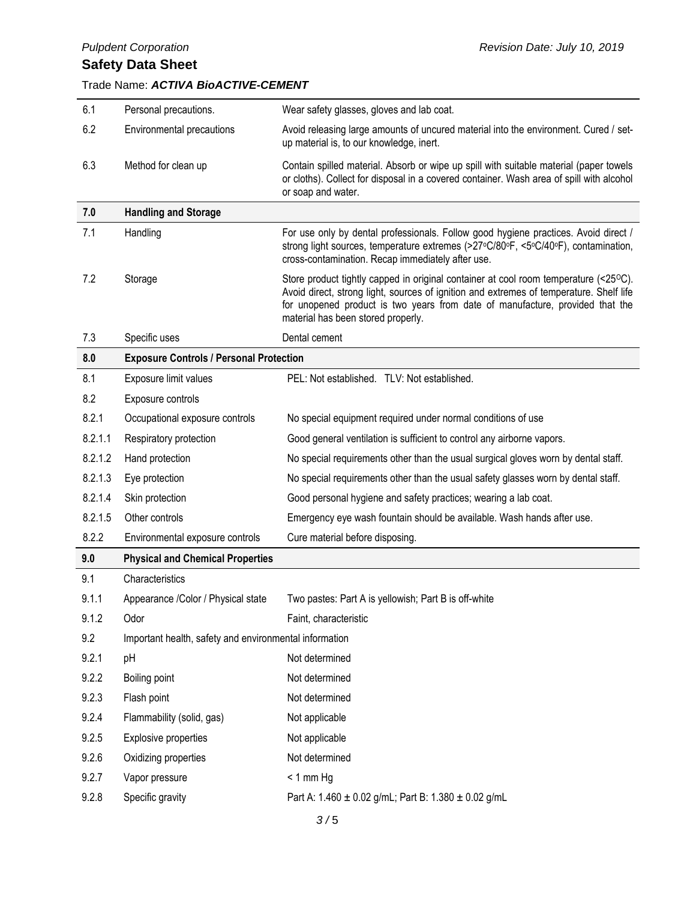## *Pulpdent Corporation Revision Date: July 10, 2019*

## Trade Name: *ACTIVA BioACTIVE-CEMENT*

| 6.1     | Personal precautions.                                  | Wear safety glasses, gloves and lab coat.                                                                                                                                                                                                                                                              |
|---------|--------------------------------------------------------|--------------------------------------------------------------------------------------------------------------------------------------------------------------------------------------------------------------------------------------------------------------------------------------------------------|
| 6.2     | Environmental precautions                              | Avoid releasing large amounts of uncured material into the environment. Cured / set-<br>up material is, to our knowledge, inert.                                                                                                                                                                       |
| 6.3     | Method for clean up                                    | Contain spilled material. Absorb or wipe up spill with suitable material (paper towels<br>or cloths). Collect for disposal in a covered container. Wash area of spill with alcohol<br>or soap and water.                                                                                               |
| 7.0     | <b>Handling and Storage</b>                            |                                                                                                                                                                                                                                                                                                        |
| 7.1     | Handling                                               | For use only by dental professionals. Follow good hygiene practices. Avoid direct /<br>strong light sources, temperature extremes (>27°C/80°F, <5°C/40°F), contamination,<br>cross-contamination. Recap immediately after use.                                                                         |
| 7.2     | Storage                                                | Store product tightly capped in original container at cool room temperature (<25°C).<br>Avoid direct, strong light, sources of ignition and extremes of temperature. Shelf life<br>for unopened product is two years from date of manufacture, provided that the<br>material has been stored properly. |
| 7.3     | Specific uses                                          | Dental cement                                                                                                                                                                                                                                                                                          |
| 8.0     | <b>Exposure Controls / Personal Protection</b>         |                                                                                                                                                                                                                                                                                                        |
| 8.1     | Exposure limit values                                  | PEL: Not established. TLV: Not established.                                                                                                                                                                                                                                                            |
| 8.2     | Exposure controls                                      |                                                                                                                                                                                                                                                                                                        |
| 8.2.1   | Occupational exposure controls                         | No special equipment required under normal conditions of use                                                                                                                                                                                                                                           |
| 8.2.1.1 | Respiratory protection                                 | Good general ventilation is sufficient to control any airborne vapors.                                                                                                                                                                                                                                 |
| 8.2.1.2 | Hand protection                                        | No special requirements other than the usual surgical gloves worn by dental staff.                                                                                                                                                                                                                     |
| 8.2.1.3 | Eye protection                                         | No special requirements other than the usual safety glasses worn by dental staff.                                                                                                                                                                                                                      |
| 8.2.1.4 | Skin protection                                        | Good personal hygiene and safety practices; wearing a lab coat.                                                                                                                                                                                                                                        |
| 8.2.1.5 | Other controls                                         | Emergency eye wash fountain should be available. Wash hands after use.                                                                                                                                                                                                                                 |
| 8.2.2   | Environmental exposure controls                        | Cure material before disposing.                                                                                                                                                                                                                                                                        |
| 9.0     | <b>Physical and Chemical Properties</b>                |                                                                                                                                                                                                                                                                                                        |
| 9.1     | Characteristics                                        |                                                                                                                                                                                                                                                                                                        |
| 9.1.1   | Appearance /Color / Physical state                     | Two pastes: Part A is yellowish; Part B is off-white                                                                                                                                                                                                                                                   |
| 9.1.2   | Odor                                                   | Faint, characteristic                                                                                                                                                                                                                                                                                  |
| 9.2     | Important health, safety and environmental information |                                                                                                                                                                                                                                                                                                        |
| 9.2.1   | pH                                                     | Not determined                                                                                                                                                                                                                                                                                         |
| 9.2.2   | Boiling point                                          | Not determined                                                                                                                                                                                                                                                                                         |
| 9.2.3   | Flash point                                            | Not determined                                                                                                                                                                                                                                                                                         |
| 9.2.4   | Flammability (solid, gas)                              | Not applicable                                                                                                                                                                                                                                                                                         |
| 9.2.5   | Explosive properties                                   | Not applicable                                                                                                                                                                                                                                                                                         |
| 9.2.6   | Oxidizing properties                                   | Not determined                                                                                                                                                                                                                                                                                         |
| 9.2.7   | Vapor pressure                                         | $< 1$ mm Hg                                                                                                                                                                                                                                                                                            |
| 9.2.8   | Specific gravity                                       | Part A: 1.460 ± 0.02 g/mL; Part B: 1.380 ± 0.02 g/mL                                                                                                                                                                                                                                                   |
|         |                                                        | 3/5                                                                                                                                                                                                                                                                                                    |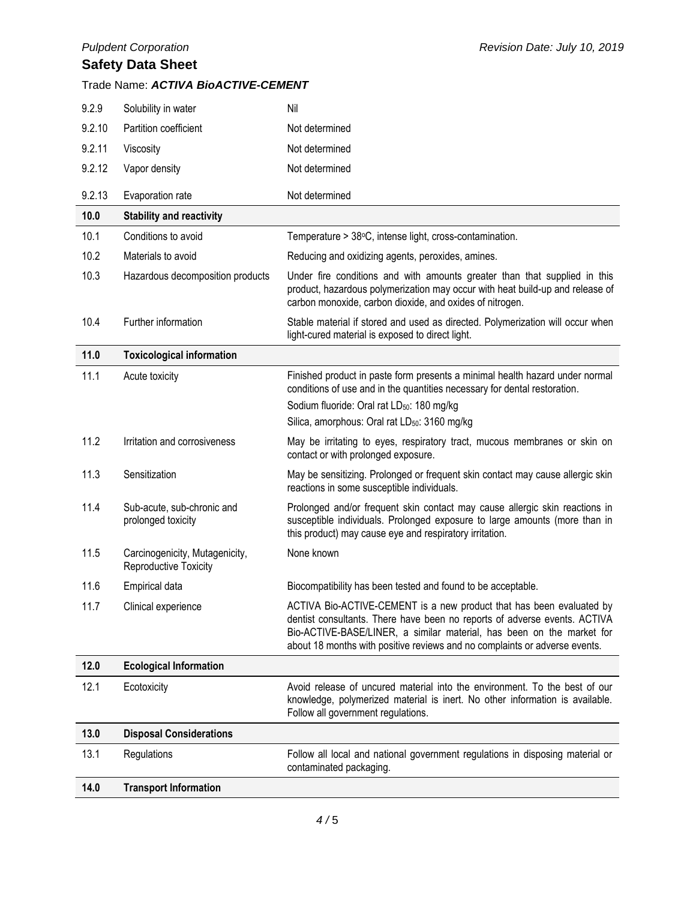#### Trade Name: *ACTIVA BioACTIVE-CEMENT*

| 9.2.9  | Solubility in water                                     | Nil                                                                                                                                                                                                                                                                                                      |
|--------|---------------------------------------------------------|----------------------------------------------------------------------------------------------------------------------------------------------------------------------------------------------------------------------------------------------------------------------------------------------------------|
| 9.2.10 | Partition coefficient                                   | Not determined                                                                                                                                                                                                                                                                                           |
| 9.2.11 | Viscosity                                               | Not determined                                                                                                                                                                                                                                                                                           |
| 9.2.12 | Vapor density                                           | Not determined                                                                                                                                                                                                                                                                                           |
| 9.2.13 | Evaporation rate                                        | Not determined                                                                                                                                                                                                                                                                                           |
| 10.0   | <b>Stability and reactivity</b>                         |                                                                                                                                                                                                                                                                                                          |
| 10.1   | Conditions to avoid                                     | Temperature > 38°C, intense light, cross-contamination.                                                                                                                                                                                                                                                  |
| 10.2   | Materials to avoid                                      | Reducing and oxidizing agents, peroxides, amines.                                                                                                                                                                                                                                                        |
| 10.3   | Hazardous decomposition products                        | Under fire conditions and with amounts greater than that supplied in this<br>product, hazardous polymerization may occur with heat build-up and release of<br>carbon monoxide, carbon dioxide, and oxides of nitrogen.                                                                                   |
| 10.4   | Further information                                     | Stable material if stored and used as directed. Polymerization will occur when<br>light-cured material is exposed to direct light.                                                                                                                                                                       |
| 11.0   | <b>Toxicological information</b>                        |                                                                                                                                                                                                                                                                                                          |
| 11.1   | Acute toxicity                                          | Finished product in paste form presents a minimal health hazard under normal<br>conditions of use and in the quantities necessary for dental restoration.<br>Sodium fluoride: Oral rat LD <sub>50</sub> : 180 mg/kg<br>Silica, amorphous: Oral rat LD <sub>50</sub> : 3160 mg/kg                         |
| 11.2   | Irritation and corrosiveness                            | May be irritating to eyes, respiratory tract, mucous membranes or skin on<br>contact or with prolonged exposure.                                                                                                                                                                                         |
| 11.3   | Sensitization                                           | May be sensitizing. Prolonged or frequent skin contact may cause allergic skin<br>reactions in some susceptible individuals.                                                                                                                                                                             |
| 11.4   | Sub-acute, sub-chronic and<br>prolonged toxicity        | Prolonged and/or frequent skin contact may cause allergic skin reactions in<br>susceptible individuals. Prolonged exposure to large amounts (more than in<br>this product) may cause eye and respiratory irritation.                                                                                     |
| 11.5   | Carcinogenicity, Mutagenicity,<br>Reproductive Toxicity | None known                                                                                                                                                                                                                                                                                               |
| 11.6   | Empirical data                                          | Biocompatibility has been tested and found to be acceptable.                                                                                                                                                                                                                                             |
| 11.7   | Clinical experience                                     | ACTIVA Bio-ACTIVE-CEMENT is a new product that has been evaluated by<br>dentist consultants. There have been no reports of adverse events. ACTIVA<br>Bio-ACTIVE-BASE/LINER, a similar material, has been on the market for<br>about 18 months with positive reviews and no complaints or adverse events. |
| 12.0   | <b>Ecological Information</b>                           |                                                                                                                                                                                                                                                                                                          |
| 12.1   | Ecotoxicity                                             | Avoid release of uncured material into the environment. To the best of our<br>knowledge, polymerized material is inert. No other information is available.<br>Follow all government regulations.                                                                                                         |
| 13.0   | <b>Disposal Considerations</b>                          |                                                                                                                                                                                                                                                                                                          |
| 13.1   | Regulations                                             | Follow all local and national government regulations in disposing material or<br>contaminated packaging.                                                                                                                                                                                                 |
| 14.0   | <b>Transport Information</b>                            |                                                                                                                                                                                                                                                                                                          |
|        |                                                         |                                                                                                                                                                                                                                                                                                          |